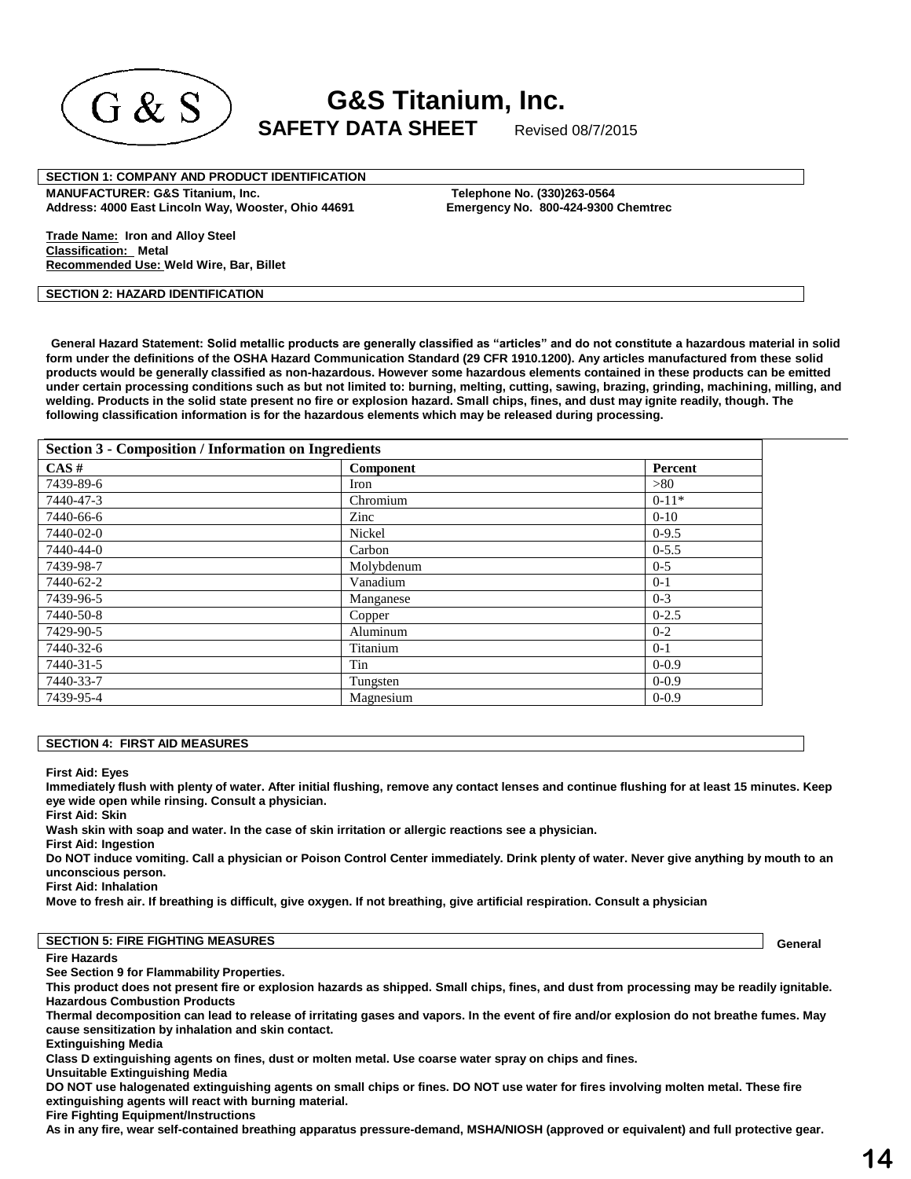

**G&S Titanium, Inc.**  $\mathrm{G\,\&\,S}$  SAFETY DATA SHEET Revised 08/7/2015

**SECTION 1: COMPANY AND PRODUCT IDENTIFICATION** 

**MANUFACTURER: G&S Titanium, Inc. Telephone No. (330)263-0564 Address: 4000 East Lincoln Way, Wooster, Ohio 44691 Emergency No. 800-424-9300 Chemtrec**

**Trade Name: Iron and Alloy Steel Classification: Metal Recommended Use: Weld Wire, Bar, Billet** 

## **SECTION 2: HAZARD IDENTIFICATION**

**General Hazard Statement: Solid metallic products are generally classified as "articles" and do not constitute a hazardous material in solid form under the definitions of the OSHA Hazard Communication Standard (29 CFR 1910.1200). Any articles manufactured from these solid products would be generally classified as non-hazardous. However some hazardous elements contained in these products can be emitted under certain processing conditions such as but not limited to: burning, melting, cutting, sawing, brazing, grinding, machining, milling, and welding. Products in the solid state present no fire or explosion hazard. Small chips, fines, and dust may ignite readily, though. The following classification information is for the hazardous elements which may be released during processing.**

| <b>Section 3 - Composition / Information on Ingredients</b> |            |           |  |
|-------------------------------------------------------------|------------|-----------|--|
| CAS#                                                        | Component  | Percent   |  |
| 7439-89-6                                                   | Iron       | >80       |  |
| 7440-47-3                                                   | Chromium   | $0-11*$   |  |
| 7440-66-6                                                   | Zinc       | $0 - 10$  |  |
| 7440-02-0                                                   | Nickel     | $0-9.5$   |  |
| 7440-44-0                                                   | Carbon     | $0 - 5.5$ |  |
| 7439-98-7                                                   | Molybdenum | $0 - 5$   |  |
| 7440-62-2                                                   | Vanadium   | $0-1$     |  |
| 7439-96-5                                                   | Manganese  | $0 - 3$   |  |
| 7440-50-8                                                   | Copper     | $0 - 2.5$ |  |
| 7429-90-5                                                   | Aluminum   | $0 - 2$   |  |
| 7440-32-6                                                   | Titanium   | $0-1$     |  |
| 7440-31-5                                                   | Tin        | $0 - 0.9$ |  |
| 7440-33-7                                                   | Tungsten   | $0 - 0.9$ |  |
| 7439-95-4                                                   | Magnesium  | $0 - 0.9$ |  |

#### **SECTION 4: FIRST AID MEASURES**

#### **First Aid: Eyes**

**Immediately flush with plenty of water. After initial flushing, remove any contact lenses and continue flushing for at least 15 minutes. Keep eye wide open while rinsing. Consult a physician.** 

**First Aid: Skin** 

**Wash skin with soap and water. In the case of skin irritation or allergic reactions see a physician.** 

**First Aid: Ingestion** 

**Do NOT induce vomiting. Call a physician or Poison Control Center immediately. Drink plenty of water. Never give anything by mouth to an unconscious person.** 

**First Aid: Inhalation** 

**Move to fresh air. If breathing is difficult, give oxygen. If not breathing, give artificial respiration. Consult a physician**

#### **SECTION 5: FIRE FIGHTING MEASURES**

#### **Fire Hazards**

**General** 

**See Section 9 for Flammability Properties.** 

**This product does not present fire or explosion hazards as shipped. Small chips, fines, and dust from processing may be readily ignitable. Hazardous Combustion Products** 

**Thermal decomposition can lead to release of irritating gases and vapors. In the event of fire and/or explosion do not breathe fumes. May cause sensitization by inhalation and skin contact.** 

**Extinguishing Media** 

**Class D extinguishing agents on fines, dust or molten metal. Use coarse water spray on chips and fines.** 

**Unsuitable Extinguishing Media** 

**DO NOT use halogenated extinguishing agents on small chips or fines. DO NOT use water for fires involving molten metal. These fire extinguishing agents will react with burning material.** 

**Fire Fighting Equipment/Instructions** 

**As in any fire, wear self-contained breathing apparatus pressure-demand, MSHA/NIOSH (approved or equivalent) and full protective gear.**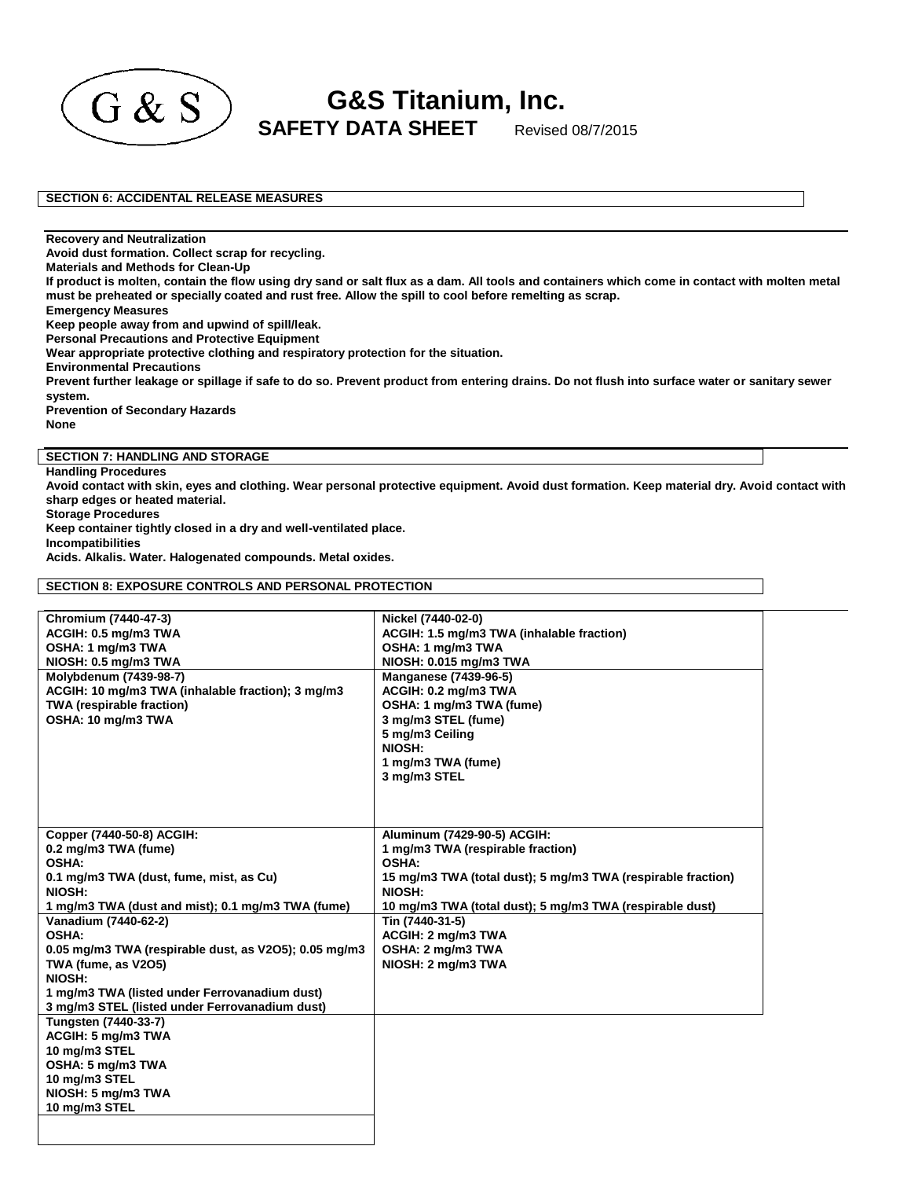

**G&S Titanium, Inc.**  $\begin{array}{cc} \textbf{G} & \textbf{S} \ \textbf{S} & \textbf{S} \end{array}$  SAFETY DATA SHEET Revised 08/7/2015

**SECTION 6: ACCIDENTAL RELEASE MEASURES**

**Recovery and Neutralization** 

**Avoid dust formation. Collect scrap for recycling.** 

**Materials and Methods for Clean-Up** 

**If product is molten, contain the flow using dry sand or salt flux as a dam. All tools and containers which come in contact with molten metal must be preheated or specially coated and rust free. Allow the spill to cool before remelting as scrap.** 

**Emergency Measures** 

**Keep people away from and upwind of spill/leak.** 

**Personal Precautions and Protective Equipment** 

**Wear appropriate protective clothing and respiratory protection for the situation.** 

**Environmental Precautions** 

**Prevent further leakage or spillage if safe to do so. Prevent product from entering drains. Do not flush into surface water or sanitary sewer system.** 

**Prevention of Secondary Hazards** 

**None**

**SECTION 7: HANDLING AND STORAGE** 

**Handling Procedures** 

**Avoid contact with skin, eyes and clothing. Wear personal protective equipment. Avoid dust formation. Keep material dry. Avoid contact with sharp edges or heated material.** 

**Storage Procedures** 

**Keep container tightly closed in a dry and well-ventilated place.** 

**Incompatibilities** 

**Acids. Alkalis. Water. Halogenated compounds. Metal oxides.**

**SECTION 8: EXPOSURE CONTROLS AND PERSONAL PROTECTION**

| Chromium (7440-47-3)                                  | Nickel (7440-02-0)                                           |
|-------------------------------------------------------|--------------------------------------------------------------|
| ACGIH: 0.5 mg/m3 TWA                                  | ACGIH: 1.5 mg/m3 TWA (inhalable fraction)                    |
| OSHA: 1 mg/m3 TWA                                     | OSHA: 1 mg/m3 TWA                                            |
| NIOSH: 0.5 mg/m3 TWA                                  | NIOSH: 0.015 mg/m3 TWA                                       |
| Molybdenum (7439-98-7)                                | <b>Manganese (7439-96-5)</b>                                 |
| ACGIH: 10 mg/m3 TWA (inhalable fraction); 3 mg/m3     | ACGIH: 0.2 mg/m3 TWA                                         |
| TWA (respirable fraction)                             | OSHA: 1 mg/m3 TWA (fume)                                     |
| OSHA: 10 mg/m3 TWA                                    | 3 mg/m3 STEL (fume)                                          |
|                                                       | 5 mg/m3 Ceiling                                              |
|                                                       | NIOSH:                                                       |
|                                                       | 1 mg/m3 TWA (fume)                                           |
|                                                       | 3 mg/m3 STEL                                                 |
|                                                       |                                                              |
|                                                       |                                                              |
|                                                       |                                                              |
| Copper (7440-50-8) ACGIH:                             | Aluminum (7429-90-5) ACGIH:                                  |
| 0.2 mg/m3 TWA (fume)                                  | 1 mg/m3 TWA (respirable fraction)                            |
| OSHA:                                                 | <b>OSHA:</b>                                                 |
| 0.1 mg/m3 TWA (dust, fume, mist, as Cu)               | 15 mg/m3 TWA (total dust); 5 mg/m3 TWA (respirable fraction) |
| NIOSH:                                                | NIOSH:                                                       |
| 1 mg/m3 TWA (dust and mist); 0.1 mg/m3 TWA (fume)     | 10 mg/m3 TWA (total dust); 5 mg/m3 TWA (respirable dust)     |
| Vanadium (7440-62-2)                                  | Tin (7440-31-5)                                              |
| OSHA:                                                 | ACGIH: 2 mg/m3 TWA                                           |
|                                                       |                                                              |
| 0.05 mg/m3 TWA (respirable dust, as V2O5); 0.05 mg/m3 | OSHA: 2 mg/m3 TWA                                            |
| TWA (fume, as V2O5)<br>NIOSH:                         | NIOSH: 2 mg/m3 TWA                                           |
|                                                       |                                                              |
| 1 mg/m3 TWA (listed under Ferrovanadium dust)         |                                                              |
| 3 mg/m3 STEL (listed under Ferrovanadium dust)        |                                                              |
| Tungsten (7440-33-7)                                  |                                                              |
| ACGIH: 5 mg/m3 TWA                                    |                                                              |
| 10 mg/m3 STEL                                         |                                                              |
| OSHA: 5 mg/m3 TWA                                     |                                                              |
| 10 mg/m3 STEL                                         |                                                              |
| NIOSH: 5 mg/m3 TWA                                    |                                                              |
| 10 mg/m3 STEL                                         |                                                              |
|                                                       |                                                              |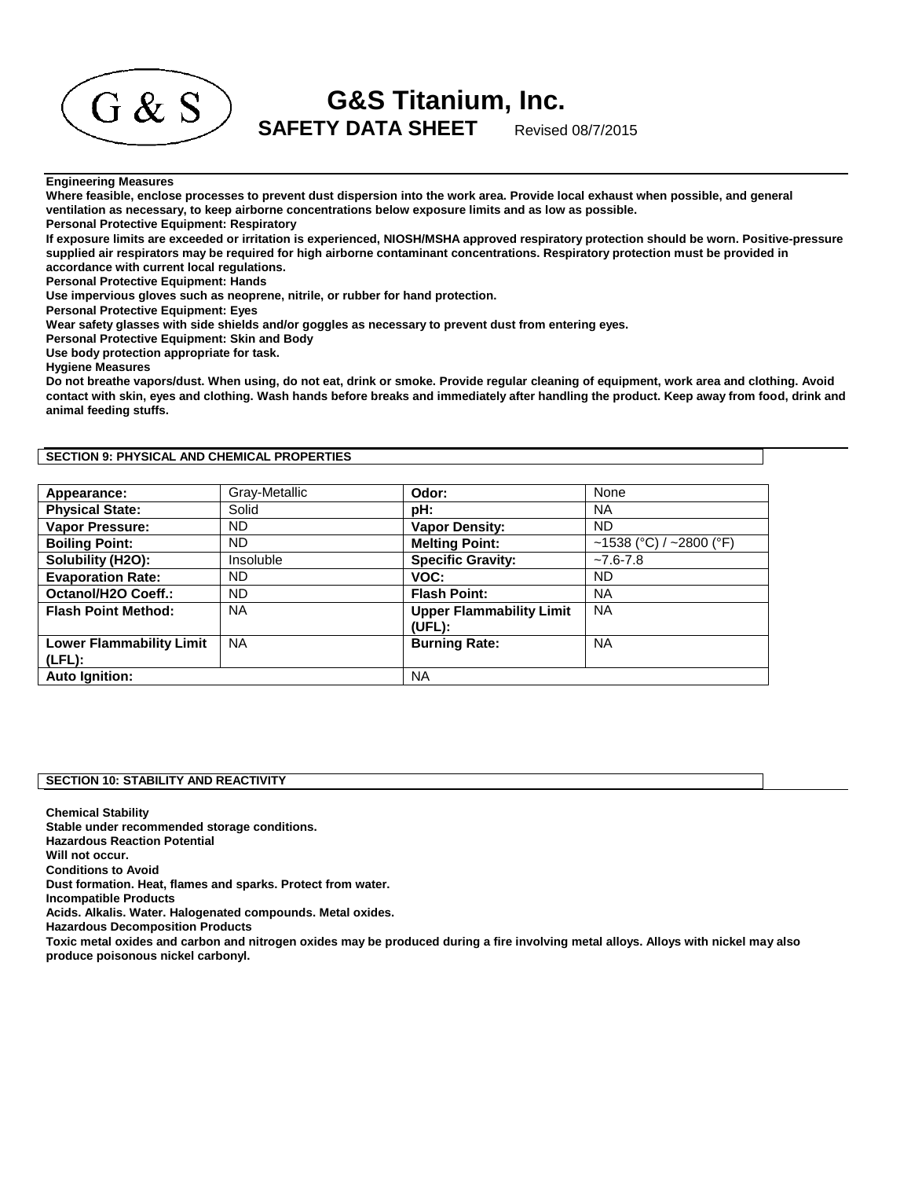

**G&S Titanium, Inc.**

## **Engineering Measures**

**Where feasible, enclose processes to prevent dust dispersion into the work area. Provide local exhaust when possible, and general ventilation as necessary, to keep airborne concentrations below exposure limits and as low as possible.** 

**Personal Protective Equipment: Respiratory** 

**If exposure limits are exceeded or irritation is experienced, NIOSH/MSHA approved respiratory protection should be worn. Positive-pressure supplied air respirators may be required for high airborne contaminant concentrations. Respiratory protection must be provided in accordance with current local regulations.** 

**Personal Protective Equipment: Hands** 

**Use impervious gloves such as neoprene, nitrile, or rubber for hand protection.** 

**Personal Protective Equipment: Eyes** 

**Wear safety glasses with side shields and/or goggles as necessary to prevent dust from entering eyes.** 

**Personal Protective Equipment: Skin and Body** 

**Use body protection appropriate for task.** 

**Hygiene Measures** 

**Do not breathe vapors/dust. When using, do not eat, drink or smoke. Provide regular cleaning of equipment, work area and clothing. Avoid contact with skin, eyes and clothing. Wash hands before breaks and immediately after handling the product. Keep away from food, drink and animal feeding stuffs.**

**SECTION 9: PHYSICAL AND CHEMICAL PROPERTIES**

| Appearance:                     | Gray-Metallic | Odor:                                     | None                    |
|---------------------------------|---------------|-------------------------------------------|-------------------------|
| <b>Physical State:</b>          | Solid         | pH:                                       | <b>NA</b>               |
| Vapor Pressure:                 | ND.           | <b>Vapor Density:</b>                     | <b>ND</b>               |
| <b>Boiling Point:</b>           | ND.           | <b>Melting Point:</b>                     | ~1538 (°C) / ~2800 (°F) |
| Solubility (H2O):               | Insoluble     | <b>Specific Gravity:</b>                  | $-7.6 - 7.8$            |
| <b>Evaporation Rate:</b>        | ND.           | VOC:                                      | ND                      |
| Octanol/H2O Coeff.:             | <b>ND</b>     | <b>Flash Point:</b>                       | <b>NA</b>               |
| <b>Flash Point Method:</b>      | <b>NA</b>     | <b>Upper Flammability Limit</b><br>(UEL): | <b>NA</b>               |
| <b>Lower Flammability Limit</b> | <b>NA</b>     | <b>Burning Rate:</b>                      | <b>NA</b>               |
| $(LFL)$ :                       |               |                                           |                         |
| <b>Auto Ignition:</b>           |               | <b>NA</b>                                 |                         |

# **SECTION 10: STABILITY AND REACTIVITY**

**Chemical Stability Stable under recommended storage conditions. Hazardous Reaction Potential Will not occur. Conditions to Avoid Dust formation. Heat, flames and sparks. Protect from water. Incompatible Products Acids. Alkalis. Water. Halogenated compounds. Metal oxides. Hazardous Decomposition Products Toxic metal oxides and carbon and nitrogen oxides may be produced during a fire involving metal alloys. Alloys with nickel may also produce poisonous nickel carbonyl.**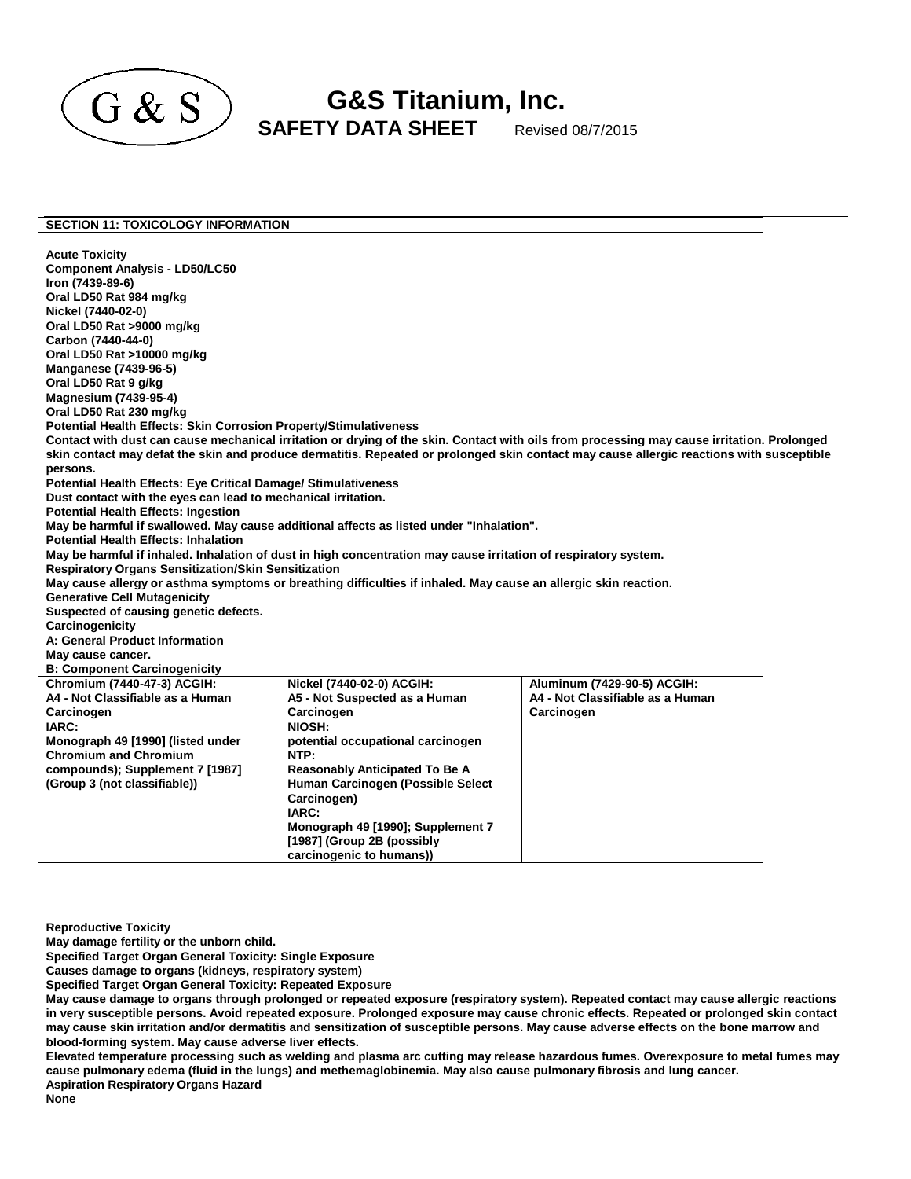

**G&S Titanium, Inc.**  $\mathrm{G} \ \& \ \mathrm{S} \!\!\! \!\! \!\! \!\! \!\! \sum_{\mathsf{SAF} \mathsf{E} \mathsf{TY} } \mathsf{DATA} \ \mathsf{SHEET} \!\!\! \sup_{\mathsf{Revised} \ 08/7/2015} }$ 

#### **SECTION 11: TOXICOLOGY INFORMATION**

**Acute Toxicity Component Analysis - LD50/LC50 Iron (7439-89-6) Oral LD50 Rat 984 mg/kg Nickel (7440-02-0) Oral LD50 Rat >9000 mg/kg Carbon (7440-44-0) Oral LD50 Rat >10000 mg/kg Manganese (7439-96-5) Oral LD50 Rat 9 g/kg Magnesium (7439-95-4) Oral LD50 Rat 230 mg/kg Potential Health Effects: Skin Corrosion Property/Stimulativeness Contact with dust can cause mechanical irritation or drying of the skin. Contact with oils from processing may cause irritation. Prolonged skin contact may defat the skin and produce dermatitis. Repeated or prolonged skin contact may cause allergic reactions with susceptible persons. Potential Health Effects: Eye Critical Damage/ Stimulativeness Dust contact with the eyes can lead to mechanical irritation. Potential Health Effects: Ingestion May be harmful if swallowed. May cause additional affects as listed under "Inhalation". Potential Health Effects: Inhalation May be harmful if inhaled. Inhalation of dust in high concentration may cause irritation of respiratory system. Respiratory Organs Sensitization/Skin Sensitization May cause allergy or asthma symptoms or breathing difficulties if inhaled. May cause an allergic skin reaction. Generative Cell Mutagenicity Suspected of causing genetic defects. Carcinogenicity A: General Product Information May cause cancer. B: Component Carcinogenicity Chromium (7440-47-3) ACGIH: A4 - Not Classifiable as a Human Carcinogen IARC: Monograph 49 [1990] (listed under Chromium and Chromium compounds); Supplement 7 [1987] (Group 3 (not classifiable)) Nickel (7440-02-0) ACGIH: A5 - Not Suspected as a Human Carcinogen NIOSH: potential occupational carcinogen NTP: Reasonably Anticipated To Be A Human Carcinogen (Possible Select Carcinogen) IARC: Monograph 49 [1990]; Supplement 7 [1987] (Group 2B (possibly carcinogenic to humans)) Aluminum (7429-90-5) ACGIH: A4 - Not Classifiable as a Human Carcinogen**

**Reproductive Toxicity** 

**May damage fertility or the unborn child.** 

**Specified Target Organ General Toxicity: Single Exposure** 

**Causes damage to organs (kidneys, respiratory system)** 

**Specified Target Organ General Toxicity: Repeated Exposure** 

**May cause damage to organs through prolonged or repeated exposure (respiratory system). Repeated contact may cause allergic reactions in very susceptible persons. Avoid repeated exposure. Prolonged exposure may cause chronic effects. Repeated or prolonged skin contact may cause skin irritation and/or dermatitis and sensitization of susceptible persons. May cause adverse effects on the bone marrow and blood-forming system. May cause adverse liver effects.** 

**Elevated temperature processing such as welding and plasma arc cutting may release hazardous fumes. Overexposure to metal fumes may cause pulmonary edema (fluid in the lungs) and methemaglobinemia. May also cause pulmonary fibrosis and lung cancer. Aspiration Respiratory Organs Hazard** 

**None**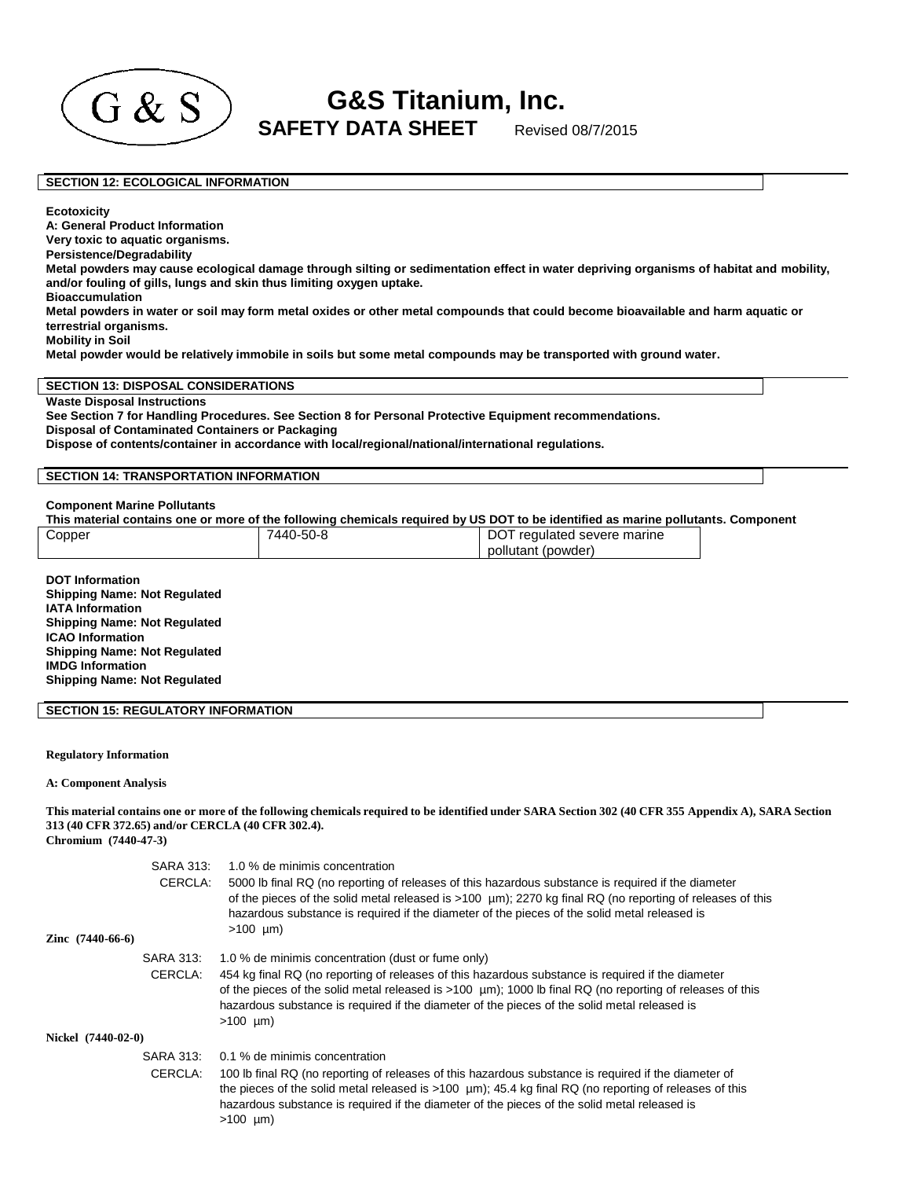

**G&S Titanium, Inc.**  $\begin{array}{cc} \textbf{G} & \textbf{S} \ \textbf{S} & \textbf{S} \end{array}$  SAFETY DATA SHEET Revised 08/7/2015

## **SECTION 12: ECOLOGICAL INFORMATION**

**Ecotoxicity** 

**A: General Product Information** 

**Very toxic to aquatic organisms.** 

**Persistence/Degradability** 

**Metal powders may cause ecological damage through silting or sedimentation effect in water depriving organisms of habitat and mobility, and/or fouling of gills, lungs and skin thus limiting oxygen uptake.** 

## **Bioaccumulation**

**Metal powders in water or soil may form metal oxides or other metal compounds that could become bioavailable and harm aquatic or terrestrial organisms.** 

**Mobility in Soil** 

**Metal powder would be relatively immobile in soils but some metal compounds may be transported with ground water.**

## **SECTION 13: DISPOSAL CONSIDERATIONS**

**Waste Disposal Instructions See Section 7 for Handling Procedures. See Section 8 for Personal Protective Equipment recommendations. Disposal of Contaminated Containers or Packaging Dispose of contents/container in accordance with local/regional/national/international regulations.**

## **SECTION 14: TRANSPORTATION INFORMATION**

#### **Component Marine Pollutants**

|        | This material contains one or more of the following chemicals required by US DOT to be identified as marine pollutants. Component |                             |  |
|--------|-----------------------------------------------------------------------------------------------------------------------------------|-----------------------------|--|
| Copper | 7440-50-8                                                                                                                         | DOT regulated severe marine |  |
|        |                                                                                                                                   | pollutant (powder)          |  |

**DOT Information Shipping Name: Not Regulated IATA Information Shipping Name: Not Regulated ICAO Information Shipping Name: Not Regulated IMDG Information Shipping Name: Not Regulated**

## **SECTION 15: REGULATORY INFORMATION**

#### **Regulatory Information**

**A: Component Analysis**

# This material contains one or more of the following chemicals required to be identified under SARA Section 302 (40 CFR 355 Appendix A), SARA Section **313 (40 CFR 372.65) and/or CERCLA (40 CFR 302.4).**

**Chromium (7440-47-3)**

|                           | <b>SARA 313:</b>     | 1.0 % de minimis concentration                                                                                                                                                                                                                                                                                                                                    |
|---------------------------|----------------------|-------------------------------------------------------------------------------------------------------------------------------------------------------------------------------------------------------------------------------------------------------------------------------------------------------------------------------------------------------------------|
|                           | CERCLA:              | 5000 lb final RQ (no reporting of releases of this hazardous substance is required if the diameter<br>of the pieces of the solid metal released is $>100 \mu m$ ); 2270 kg final RQ (no reporting of releases of this<br>hazardous substance is required if the diameter of the pieces of the solid metal released is<br>$>100 \mu m$ )                           |
| <b>Zinc</b> $(7440-66-6)$ |                      |                                                                                                                                                                                                                                                                                                                                                                   |
|                           | <b>SARA 313:</b>     | 1.0 % de minimis concentration (dust or fume only)                                                                                                                                                                                                                                                                                                                |
|                           | CERCLA:              | 454 kg final RQ (no reporting of releases of this hazardous substance is required if the diameter<br>of the pieces of the solid metal released is $>100 \mu m$ ; 1000 lb final RQ (no reporting of releases of this<br>hazardous substance is required if the diameter of the pieces of the solid metal released is<br>$>100 \mu m$                               |
| Nickel (7440-02-0)        |                      |                                                                                                                                                                                                                                                                                                                                                                   |
|                           | SARA 313:<br>CERCLA: | 0.1 % de minimis concentration<br>100 lb final RQ (no reporting of releases of this hazardous substance is required if the diameter of<br>the pieces of the solid metal released is $>100 \mu m$ ; 45.4 kg final RQ (no reporting of releases of this<br>hazardous substance is required if the diameter of the pieces of the solid metal released is<br>>100 µm) |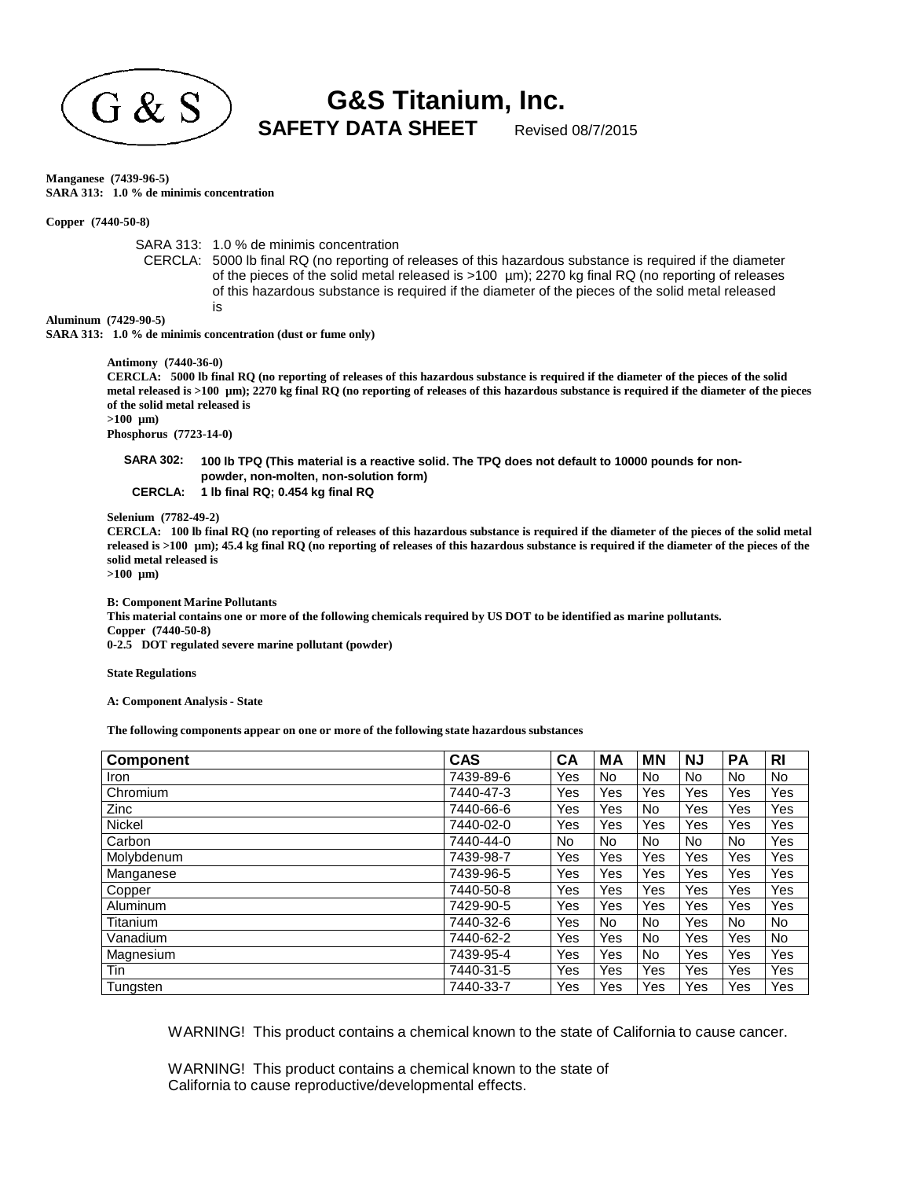

**G&S Titanium, Inc.**  $\mathrm{G\,\&\,S}$  SAFETY DATA SHEET Revised 08/7/2015

**Manganese (7439-96-5) SARA 313: 1.0 % de minimis concentration**

**Copper (7440-50-8)**

SARA 313: 1.0 % de minimis concentration

CERCLA: 5000 lb final RQ (no reporting of releases of this hazardous substance is required if the diameter of the pieces of the solid metal released is >100 µm); 2270 kg final RQ (no reporting of releases of this hazardous substance is required if the diameter of the pieces of the solid metal released is

**Aluminum (7429-90-5)**

>100 µm) **SARA 313: 1.0 % de minimis concentration (dust or fume only)**

**Antimony (7440-36-0)**

CERCLA: 5000 lb final RQ (no reporting of releases of this hazardous substance is required if the diameter of the pieces of the solid metal released is >100 µm); 2270 kg final RQ (no reporting of releases of this hazardous substance is required if the diameter of the pieces **of the solid metal released is >100 µm)**

**Phosphorus (7723-14-0)**

SARA 302: 100 lb TPQ (This material is a reactive solid. The TPQ does not default to 10000 pounds for non**powder, non-molten, non-solution form)**

**CERCLA: 1 lb final RQ; 0.454 kg final RQ**

**Selenium (7782-49-2)**

CERCLA: 100 lb final RQ (no reporting of releases of this hazardous substance is required if the diameter of the pieces of the solid metal released is >100 µm); 45.4 kg final RQ (no reporting of releases of this hazardous substance is required if the diameter of the pieces of the **solid metal released is**

**>100 µm)**

**B: Component Marine Pollutants**

This material contains one or more of the following chemicals required by US DOT to be identified as marine pollutants. **Copper (7440-50-8) 0-2.5 DOT regulated severe marine pollutant (powder)**

**State Regulations**

**A: Component Analysis- State**

**The following components appear on one or more of the following state hazardous substances**

| <b>Component</b> | <b>CAS</b> | CA  | МA  | ΜN  | <b>NJ</b> | <b>PA</b> | <b>RI</b> |
|------------------|------------|-----|-----|-----|-----------|-----------|-----------|
| <b>Iron</b>      | 7439-89-6  | Yes | No. | No  | No.       | No        | No.       |
| Chromium         | 7440-47-3  | Yes | Yes | Yes | Yes       | Yes       | Yes       |
| Zinc             | 7440-66-6  | Yes | Yes | No  | Yes       | Yes       | Yes       |
| <b>Nickel</b>    | 7440-02-0  | Yes | Yes | Yes | Yes       | Yes       | Yes       |
| Carbon           | 7440-44-0  | No. | No. | No. | No.       | No.       | Yes       |
| Molybdenum       | 7439-98-7  | Yes | Yes | Yes | Yes       | Yes       | Yes       |
| Manganese        | 7439-96-5  | Yes | Yes | Yes | Yes       | Yes       | Yes       |
| Copper           | 7440-50-8  | Yes | Yes | Yes | Yes       | Yes       | Yes       |
| Aluminum         | 7429-90-5  | Yes | Yes | Yes | Yes       | Yes       | Yes       |
| Titanium         | 7440-32-6  | Yes | No. | No. | Yes       | No.       | No.       |
| Vanadium         | 7440-62-2  | Yes | Yes | No. | Yes       | Yes       | No.       |
| Magnesium        | 7439-95-4  | Yes | Yes | No. | Yes       | Yes       | Yes       |
| Tin              | 7440-31-5  | Yes | Yes | Yes | Yes       | Yes       | Yes       |
| Tungsten         | 7440-33-7  | Yes | Yes | Yes | Yes       | Yes       | Yes       |

WARNING! This product contains a chemical known to the state of California to cause cancer.

WARNING! This product contains a chemical known to the state of California to cause reproductive/developmental effects.